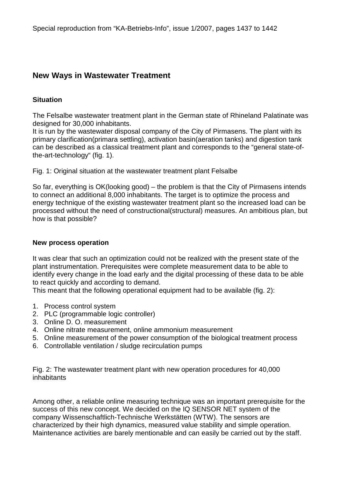# **New Ways in Wastewater Treatment**

### **Situation**

The Felsalbe wastewater treatment plant in the German state of Rhineland Palatinate was designed for 30,000 inhabitants.

It is run by the wastewater disposal company of the City of Pirmasens. The plant with its primary clarification(primara settling), activation basin(aeration tanks) and digestion tank can be described as a classical treatment plant and corresponds to the "general state-ofthe-art-technology" (fig. 1).

Fig. 1: Original situation at the wastewater treatment plant Felsalbe

So far, everything is OK(looking good) – the problem is that the City of Pirmasens intends to connect an additional 8,000 inhabitants. The target is to optimize the process and energy technique of the existing wastewater treatment plant so the increased load can be processed without the need of constructional(structural) measures. An ambitious plan, but how is that possible?

#### **New process operation**

It was clear that such an optimization could not be realized with the present state of the plant instrumentation. Prerequisites were complete measurement data to be able to identify every change in the load early and the digital processing of these data to be able to react quickly and according to demand.

This meant that the following operational equipment had to be available (fig. 2):

- 1. Process control system
- 2. PLC (programmable logic controller)
- 3. Online D. O. measurement
- 4. Online nitrate measurement, online ammonium measurement
- 5. Online measurement of the power consumption of the biological treatment process
- 6. Controllable ventilation / sludge recirculation pumps

Fig. 2: The wastewater treatment plant with new operation procedures for 40,000 inhabitants

Among other, a reliable online measuring technique was an important prerequisite for the success of this new concept. We decided on the IQ SENSOR NET system of the company Wissenschaftlich-Technische Werkstätten (WTW). The sensors are characterized by their high dynamics, measured value stability and simple operation. Maintenance activities are barely mentionable and can easily be carried out by the staff.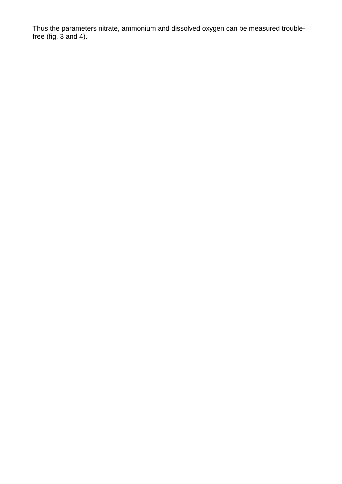Thus the parameters nitrate, ammonium and dissolved oxygen can be measured troublefree (fig. 3 and 4).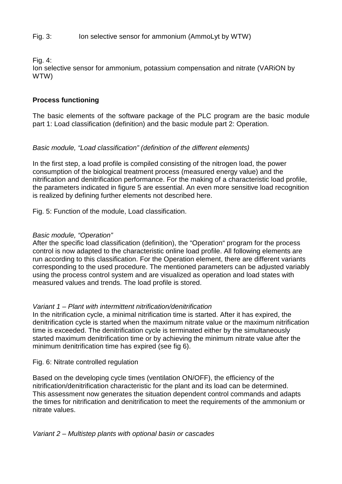Fig. 3: Ion selective sensor for ammonium (AmmoLyt by WTW)

Fig. 4:

Ion selective sensor for ammonium, potassium compensation and nitrate (VARiON by WTW)

## **Process functioning**

The basic elements of the software package of the PLC program are the basic module part 1: Load classification (definition) and the basic module part 2: Operation.

### Basic module, "Load classification" (definition of the different elements)

In the first step, a load profile is compiled consisting of the nitrogen load, the power consumption of the biological treatment process (measured energy value) and the nitrification and denitrification performance. For the making of a characteristic load profile, the parameters indicated in figure 5 are essential. An even more sensitive load recognition is realized by defining further elements not described here.

Fig. 5: Function of the module, Load classification.

### Basic module, "Operation"

After the specific load classification (definition), the "Operation" program for the process control is now adapted to the characteristic online load profile. All following elements are run according to this classification. For the Operation element, there are different variants corresponding to the used procedure. The mentioned parameters can be adjusted variably using the process control system and are visualized as operation and load states with measured values and trends. The load profile is stored.

#### Variant 1 – Plant with intermittent nitrification/denitrification

In the nitrification cycle, a minimal nitrification time is started. After it has expired, the denitrification cycle is started when the maximum nitrate value or the maximum nitrification time is exceeded. The denitrification cycle is terminated either by the simultaneously started maximum denitrification time or by achieving the minimum nitrate value after the minimum denitrification time has expired (see fig 6).

Fig. 6: Nitrate controlled regulation

Based on the developing cycle times (ventilation ON/OFF), the efficiency of the nitrification/denitrification characteristic for the plant and its load can be determined. This assessment now generates the situation dependent control commands and adapts the times for nitrification and denitrification to meet the requirements of the ammonium or nitrate values.

Variant 2 – Multistep plants with optional basin or cascades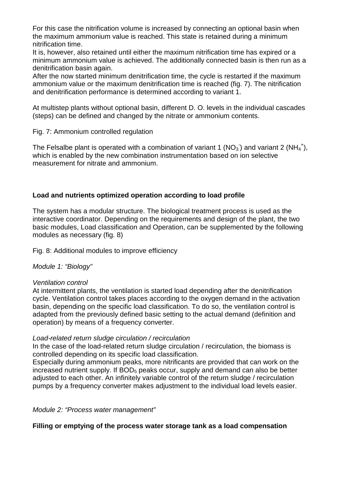For this case the nitrification volume is increased by connecting an optional basin when the maximum ammonium value is reached. This state is retained during a minimum nitrification time.

It is, however, also retained until either the maximum nitrification time has expired or a minimum ammonium value is achieved. The additionally connected basin is then run as a denitrification basin again.

After the now started minimum denitrification time, the cycle is restarted if the maximum ammonium value or the maximum denitrification time is reached (fig. 7). The nitrification and denitrification performance is determined according to variant 1.

At multistep plants without optional basin, different D. O. levels in the individual cascades (steps) can be defined and changed by the nitrate or ammonium contents.

#### Fig. 7: Ammonium controlled regulation

The Felsalbe plant is operated with a combination of variant 1 (NO<sub>3</sub>) and variant 2 (NH<sub>4</sub><sup>+</sup>), which is enabled by the new combination instrumentation based on ion selective measurement for nitrate and ammonium.

### **Load and nutrients optimized operation according to load profile**

The system has a modular structure. The biological treatment process is used as the interactive coordinator. Depending on the requirements and design of the plant, the two basic modules, Load classification and Operation, can be supplemented by the following modules as necessary (fig. 8)

Fig. 8: Additional modules to improve efficiency

Module 1: "Biology"

#### Ventilation control

At intermittent plants, the ventilation is started load depending after the denitrification cycle. Ventilation control takes places according to the oxygen demand in the activation basin, depending on the specific load classification. To do so, the ventilation control is adapted from the previously defined basic setting to the actual demand (definition and operation) by means of a frequency converter.

#### Load-related return sludge circulation / recirculation

In the case of the load-related return sludge circulation / recirculation, the biomass is controlled depending on its specific load classification.

Especially during ammonium peaks, more nitrificants are provided that can work on the increased nutrient supply. If  $BOD<sub>5</sub>$  peaks occur, supply and demand can also be better adjusted to each other. An infinitely variable control of the return sludge / recirculation pumps by a frequency converter makes adjustment to the individual load levels easier.

Module 2: "Process water management"

### **Filling or emptying of the process water storage tank as a load compensation**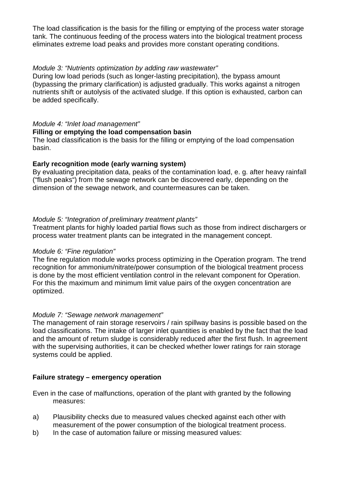The load classification is the basis for the filling or emptying of the process water storage tank. The continuous feeding of the process waters into the biological treatment process eliminates extreme load peaks and provides more constant operating conditions.

#### Module 3: "Nutrients optimization by adding raw wastewater"

During low load periods (such as longer-lasting precipitation), the bypass amount (bypassing the primary clarification) is adjusted gradually. This works against a nitrogen nutrients shift or autolysis of the activated sludge. If this option is exhausted, carbon can be added specifically.

#### Module 4: "Inlet load management"

#### **Filling or emptying the load compensation basin**

The load classification is the basis for the filling or emptying of the load compensation basin.

#### **Early recognition mode (early warning system)**

By evaluating precipitation data, peaks of the contamination load, e. g. after heavy rainfall ("flush peaks") from the sewage network can be discovered early, depending on the dimension of the sewage network, and countermeasures can be taken.

#### Module 5: "Integration of preliminary treatment plants"

Treatment plants for highly loaded partial flows such as those from indirect dischargers or process water treatment plants can be integrated in the management concept.

#### Module 6: "Fine regulation"

The fine regulation module works process optimizing in the Operation program. The trend recognition for ammonium/nitrate/power consumption of the biological treatment process is done by the most efficient ventilation control in the relevant component for Operation. For this the maximum and minimum limit value pairs of the oxygen concentration are optimized.

#### Module 7: "Sewage network management"

The management of rain storage reservoirs / rain spillway basins is possible based on the load classifications. The intake of larger inlet quantities is enabled by the fact that the load and the amount of return sludge is considerably reduced after the first flush. In agreement with the supervising authorities, it can be checked whether lower ratings for rain storage systems could be applied.

### **Failure strategy – emergency operation**

Even in the case of malfunctions, operation of the plant with granted by the following measures:

- a) Plausibility checks due to measured values checked against each other with measurement of the power consumption of the biological treatment process.
- b) In the case of automation failure or missing measured values: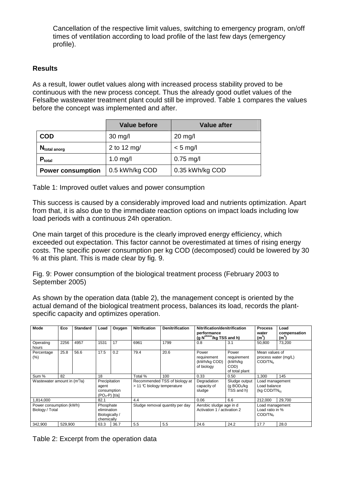Cancellation of the respective limit values, switching to emergency program, on/off times of ventilation according to load profile of the last few days (emergency profile).

#### **Results**

As a result, lower outlet values along with increased process stability proved to be continuous with the new process concept. Thus the already good outlet values of the Felsalbe wastewater treatment plant could still be improved. Table 1 compares the values before the concept was implemented and after.

|                          | <b>Value before</b> | <b>Value after</b> |
|--------------------------|---------------------|--------------------|
| <b>COD</b>               | $30$ mg/l           | $20$ mg/l          |
| $N_{total\,anorg}$       | 2 to 12 mg/         | $< 5$ mg/l         |
| $P_{total}$              | $1.0$ mg/l          | $0.75$ mg/l        |
| <b>Power consumption</b> | 0.5 kWh/kg COD      | 0.35 kWh/kg COD    |

Table 1: Improved outlet values and power consumption

This success is caused by a considerably improved load and nutrients optimization. Apart from that, it is also due to the immediate reaction options on impact loads including low load periods with a continuous 24h operation.

One main target of this procedure is the clearly improved energy efficiency, which exceeded out expectation. This factor cannot be overestimated at times of rising energy costs. The specific power consumption per kg COD (decomposed) could be lowered by 30 % at this plant. This is made clear by fig. 9.

Fig. 9: Power consumption of the biological treatment process (February 2003 to September 2005)

As shown by the operation data (table 2), the management concept is oriented by the actual demand of the biological treatment process, balances its load, records the plantspecific capacity and optimizes operation.

| Mode                                       | Eco     | <b>Standard</b>                                           | Load | Oxygen                                                         | <b>Nitrification</b> | <b>Denitrification</b>                                 | Nitrification/denitrification<br>performance<br>(g N <sup>elimin</sup> /kg TSS and h) |                                                                    | <b>Process</b><br>water<br>$(m^3)$                            | Load<br>compensation<br>(m <sup>3</sup> ) |
|--------------------------------------------|---------|-----------------------------------------------------------|------|----------------------------------------------------------------|----------------------|--------------------------------------------------------|---------------------------------------------------------------------------------------|--------------------------------------------------------------------|---------------------------------------------------------------|-------------------------------------------|
| Operating<br>hours                         | 2256    | 4957                                                      | 1531 | 17                                                             | 6961                 | 1799                                                   | 0.8                                                                                   | 3.1                                                                | 50.800                                                        | 73.200                                    |
| Percentage<br>(%)                          | 25.8    | 56.6                                                      | 17.5 | 0.2                                                            | 79.4                 | 20.6                                                   | Power<br>requirement<br>(kWh/kg COD)<br>of biology                                    | Power<br>requirement<br>(kWh/kg)<br>COD)<br>of total plant         | Mean values of<br>process water (mg/L)<br>COD/TN <sub>b</sub> |                                           |
| Sum %<br>82<br>18                          |         |                                                           |      | Total %                                                        | 100                  | 0.33                                                   | 0.50                                                                                  | 1.300                                                              | 145                                                           |                                           |
| Wastewater amount in $(m^3/a)$             |         | Precipitation<br>agent<br>consumption<br>$(PO_4-P)$ [t/a] |      | Recommended TSS of biology at<br>$>$ 11 °C biology temperature |                      | Degradation<br>capacity of<br>sludge                   | Sludge output<br>(g $BOD5/kg$<br>TSS and h)                                           | Load management<br>Load balance<br>$(kg\text{ COD/TN}_{\text{b}})$ |                                                               |                                           |
| 1,814,000                                  |         | 82.1                                                      |      | 4.4                                                            |                      | 0.06                                                   | 6.6                                                                                   | 212,000                                                            | 29,700                                                        |                                           |
| Power consumption (kWh)<br>Biology / Total |         | Phosphate<br>elimination<br>Biologically /<br>chemically  |      | Sludge removal quantity per day                                |                      | Aerobic sludge age in d<br>Activation 1 / activation 2 |                                                                                       | Load management<br>Load ratio in %<br>COD/TN <sub>h</sub>          |                                                               |                                           |
| 342,900                                    | 529,900 |                                                           | 63.3 | 36.7                                                           | 5.5                  | 5.5                                                    | 24.6                                                                                  | 24.2                                                               | 17.7                                                          | 28.0                                      |

Table 2: Excerpt from the operation data